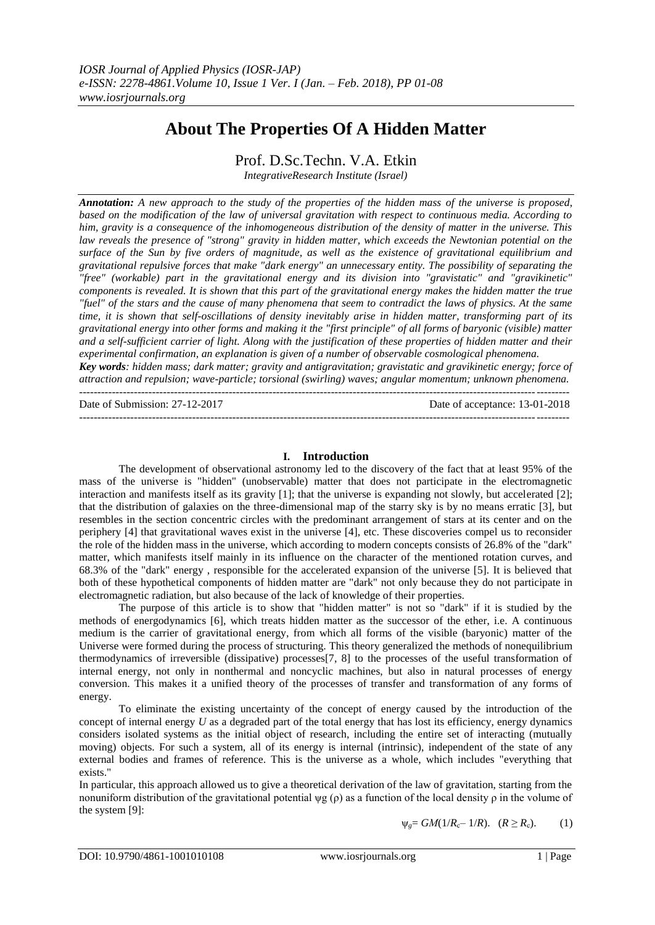# **About The Properties Of A Hidden Matter**

Prof. D.Sc.Techn. V.A. Etkin

*IntegrativeResearch Institute (Israel)*

*Annotation: A new approach to the study of the properties of the hidden mass of the universe is proposed, based on the modification of the law of universal gravitation with respect to continuous media. According to him, gravity is a consequence of the inhomogeneous distribution of the density of matter in the universe. This law reveals the presence of "strong" gravity in hidden matter, which exceeds the Newtonian potential on the surface of the Sun by five orders of magnitude, as well as the existence of gravitational equilibrium and gravitational repulsive forces that make "dark energy" an unnecessary entity. The possibility of separating the "free" (workable) part in the gravitational energy and its division into "gravistatic" and "gravikinetic" components is revealed. It is shown that this part of the gravitational energy makes the hidden matter the true "fuel" of the stars and the cause of many phenomena that seem to contradict the laws of physics. At the same time, it is shown that self-oscillations of density inevitably arise in hidden matter, transforming part of its gravitational energy into other forms and making it the "first principle" of all forms of baryonic (visible) matter and a self-sufficient carrier of light. Along with the justification of these properties of hidden matter and their experimental confirmation, an explanation is given of a number of observable cosmological phenomena. Key words: hidden mass; dark matter; gravity and antigravitation; gravistatic and gravikinetic energy; force of attraction and repulsion; wave-particle; torsional (swirling) waves; angular momentum; unknown phenomena.* --------------------------------------------------------------------------------------------------------------------------------------

Date of Submission: 27-12-2017 Date of acceptance: 13-01-2018

## **I. Introduction**

--------------------------------------------------------------------------------------------------------------------------------------

The development of observational astronomy led to the discovery of the fact that at least 95% of the mass of the universe is "hidden" (unobservable) matter that does not participate in the electromagnetic interaction and manifests itself as its gravity [1]; that the universe is expanding not slowly, but accelerated [2]; that the distribution of galaxies on the three-dimensional map of the starry sky is by no means erratic [3], but resembles in the section concentric circles with the predominant arrangement of stars at its center and on the periphery [4] that gravitational waves exist in the universe [4], etc. These discoveries compel us to reconsider the role of the hidden mass in the universe, which according to modern concepts consists of 26.8% of the "dark" matter, which manifests itself mainly in its influence on the character of the mentioned rotation curves, and 68.3% of the "dark" energy , responsible for the accelerated expansion of the universe [5]. It is believed that both of these hypothetical components of hidden matter are "dark" not only because they do not participate in electromagnetic radiation, but also because of the lack of knowledge of their properties.

The purpose of this article is to show that "hidden matter" is not so "dark" if it is studied by the methods of energodynamics [6], which treats hidden matter as the successor of the ether, i.e. A continuous medium is the carrier of gravitational energy, from which all forms of the visible (baryonic) matter of the Universe were formed during the process of structuring. This theory generalized the methods of nonequilibrium thermodynamics of irreversible (dissipative) processes[7, 8] to the processes of the useful transformation of internal energy, not only in nonthermal and noncyclic machines, but also in natural processes of energy conversion. This makes it a unified theory of the processes of transfer and transformation of any forms of energy.

To eliminate the existing uncertainty of the concept of energy caused by the introduction of the concept of internal energy *U* as a degraded part of the total energy that has lost its efficiency, energy dynamics considers isolated systems as the initial object of research, including the entire set of interacting (mutually moving) objects. For such a system, all of its energy is internal (intrinsic), independent of the state of any external bodies and frames of reference. This is the universe as a whole, which includes "everything that exists."

In particular, this approach allowed us to give a theoretical derivation of the law of gravitation, starting from the nonuniform distribution of the gravitational potential ψg (ρ) as a function of the local density  $ρ$  in the volume of the system [9]:

 $\Psi_{p} = GM(1/R_{c}-1/R)$ .  $(R \ge R_{c})$ . (1)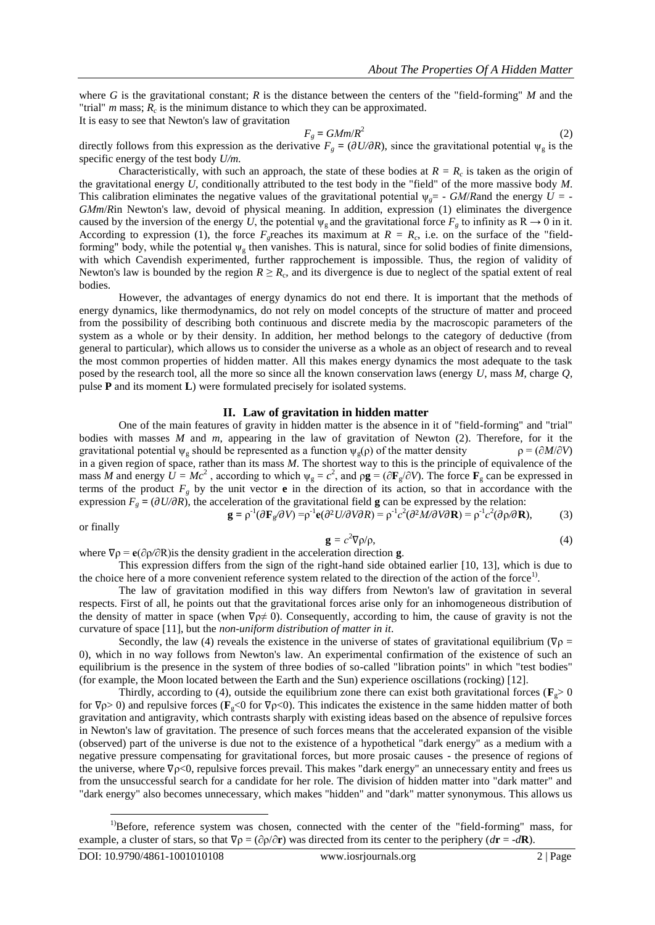where *G* is the gravitational constant; *R* is the distance between the centers of the "field-forming" *M* and the "trial"  $m$  mass;  $R_c$  is the minimum distance to which they can be approximated. It is easy to see that Newton's law of gravitation

$$
F_g = G M m / R^2 \tag{2}
$$

directly follows from this expression as the derivative  $F_g = (\partial U/\partial R)$ , since the gravitational potential  $\psi_g$  is the specific energy of the test body *U/m.*

Characteristically, with such an approach, the state of these bodies at  $R = R_c$  is taken as the origin of the gravitational energy *U*, conditionally attributed to the test body in the "field" of the more massive body *M*. This calibration eliminates the negative values of the gravitational potential  $\psi_{\varphi} = -GM/R$  and the energy  $U = -$ *GМm*/*R*in Newton's law, devoid of physical meaning. In addition, expression (1) eliminates the divergence caused by the inversion of the energy *U*, the potential  $\psi_g$  and the gravitational force  $F_g$  to infinity as  $R \to 0$  in it. According to expression (1), the force  $F_g$  reaches its maximum at  $R = R_c$ , i.e. on the surface of the "fieldforming" body, while the potential  $\psi_g$  then vanishes. This is natural, since for solid bodies of finite dimensions, with which Cavendish experimented, further rapprochement is impossible. Thus, the region of validity of Newton's law is bounded by the region  $R \ge R_c$ , and its divergence is due to neglect of the spatial extent of real bodies.

However, the advantages of energy dynamics do not end there. It is important that the methods of energy dynamics, like thermodynamics, do not rely on model concepts of the structure of matter and proceed from the possibility of describing both continuous and discrete media by the macroscopic parameters of the system as a whole or by their density. In addition, her method belongs to the category of deductive (from general to particular), which allows us to consider the universe as a whole as an object of research and to reveal the most common properties of hidden matter. All this makes energy dynamics the most adequate to the task posed by the research tool, all the more so since all the known conservation laws (energy *U*, mass *M*, charge *Q*, pulse **P** and its moment **L**) were formulated precisely for isolated systems.

## **II. Law of gravitation in hidden matter**

One of the main features of gravity in hidden matter is the absence in it of "field-forming" and "trial" bodies with masses *M* and *m*, appearing in the law of gravitation of Newton (2). Therefore, for it the gravitational potential  $\psi_{g}$  should be represented as a function  $\psi_{g}(\rho)$  of the matter density  $\rho = (\partial M/\partial V)$ gravitational potential  $\psi_{g}$  should be represented as a function  $\psi_{g}(\rho)$  of the matter density in a given region of space, rather than its mass *M*. The shortest way to this is the principle of equivalence of the mass *M* and energy  $\hat{U} = Mc^2$ , according to which  $\psi_g = c^2$ , and  $\rho g = (\partial \mathbf{F}_g/\partial V)$ . The force  $\mathbf{F}_g$  can be expressed in terms of the product  $F_g$  by the unit vector **e** in the direction of its action, so that in accordance with the expression  $F_g = (\partial U/\partial R)$ , the acceleration of the gravitational field **g** can be expressed by the relation:

$$
\mathbf{g} = \rho^{-1}(\partial \mathbf{F}_{g}/\partial V) = \rho^{-1} \mathbf{e}(\partial^{2} U/\partial V \partial R) = \rho^{-1} c^{2}(\partial^{2} M/\partial V \partial R) = \rho^{-1} c^{2}(\partial \rho/\partial R),
$$
 (3)

or finally

$$
\mathbf{g} = c^2 \nabla \rho / \rho, \tag{4}
$$

where  $\nabla \rho = e(\partial \rho / \partial R)$  is the density gradient in the acceleration direction **g**. This expression differs from the sign of the right-hand side obtained earlier [10, 13], which is due to the choice here of a more convenient reference system related to the direction of the action of the force<sup>1)</sup>.

The law of gravitation modified in this way differs from Newton's law of gravitation in several respects. First of all, he points out that the gravitational forces arise only for an inhomogeneous distribution of the density of matter in space (when  $\nabla \rho \neq 0$ ). Consequently, according to him, the cause of gravity is not the curvature of space [11], but the *non-uniform distribution of matter in it*.

Secondly, the law (4) reveals the existence in the universe of states of gravitational equilibrium ( $\nabla \rho$  = 0), which in no way follows from Newton's law. An experimental confirmation of the existence of such an equilibrium is the presence in the system of three bodies of so-called "libration points" in which "test bodies" (for example, the Moon located between the Earth and the Sun) experience oscillations (rocking) [12].

Thirdly, according to (4), outside the equilibrium zone there can exist both gravitational forces ( $\mathbf{F}_{g} > 0$ for ∇ρ> 0) and repulsive forces (**F**g<0 for ∇ρ<0). This indicates the existence in the same hidden matter of both gravitation and antigravity, which contrasts sharply with existing ideas based on the absence of repulsive forces in Newton's law of gravitation. The presence of such forces means that the accelerated expansion of the visible (observed) part of the universe is due not to the existence of a hypothetical "dark energy" as a medium with a negative pressure compensating for gravitational forces, but more prosaic causes - the presence of regions of the universe, where ∇ρ<0, repulsive forces prevail. This makes "dark energy" an unnecessary entity and frees us from the unsuccessful search for a candidate for her role. The division of hidden matter into "dark matter" and "dark energy" also becomes unnecessary, which makes "hidden" and "dark" matter synonymous. This allows us

 $\overline{a}$ 

<sup>&</sup>lt;sup>1</sup>)Before, reference system was chosen, connected with the center of the "field-forming" mass, for example, a cluster of stars, so that  $\nabla \rho = (\partial \rho / \partial \mathbf{r})$  was directed from its center to the periphery ( $d\mathbf{r} = -d\mathbf{R}$ ).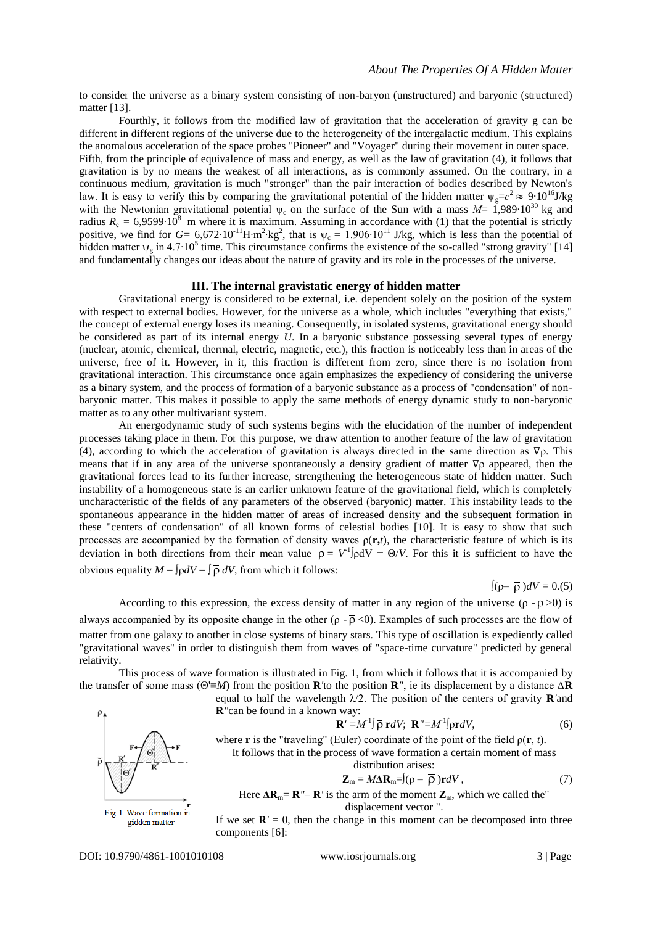to consider the universe as a binary system consisting of non-baryon (unstructured) and baryonic (structured) matter [13].

Fourthly, it follows from the modified law of gravitation that the acceleration of gravity g can be different in different regions of the universe due to the heterogeneity of the intergalactic medium. This explains the anomalous acceleration of the space probes "Pioneer" and "Voyager" during their movement in outer space. Fifth, from the principle of equivalence of mass and energy, as well as the law of gravitation (4), it follows that gravitation is by no means the weakest of all interactions, as is commonly assumed. On the contrary, in a continuous medium, gravitation is much "stronger" than the pair interaction of bodies described by Newton's law. It is easy to verify this by comparing the gravitational potential of the hidden matter  $\psi_g = c^2 \approx 9 \cdot 10^{16}$ J/kg with the Newtonian gravitational potential  $\psi_c$  on the surface of the Sun with a mass *M*= 1,989⋅10<sup>30</sup> kg and radius  $R_c = 6,9599 \cdot 10^8$  m where it is maximum. Assuming in accordance with (1) that the potential is strictly positive, we find for  $G = 6.672 \cdot 10^{-11} H \cdot m^2 \cdot kg^2$ , that is  $\psi_c = 1.906 \cdot 10^{11}$  J/kg, which is less than the potential of hidden matter  $\psi_{g}$  in 4.7⋅10<sup>5</sup> time. This circumstance confirms the existence of the so-called "strong gravity" [14] and fundamentally changes our ideas about the nature of gravity and its role in the processes of the universe.

## **III. The internal gravistatic energy of hidden matter**

Gravitational energy is considered to be external, i.e. dependent solely on the position of the system with respect to external bodies. However, for the universe as a whole, which includes "everything that exists," the concept of external energy loses its meaning. Consequently, in isolated systems, gravitational energy should be considered as part of its internal energy *U*. In a baryonic substance possessing several types of energy (nuclear, atomic, chemical, thermal, electric, magnetic, etc.), this fraction is noticeably less than in areas of the universe, free of it. However, in it, this fraction is different from zero, since there is no isolation from gravitational interaction. This circumstance once again emphasizes the expediency of considering the universe as a binary system, and the process of formation of a baryonic substance as a process of "condensation" of nonbaryonic matter. This makes it possible to apply the same methods of energy dynamic study to non-baryonic matter as to any other multivariant system.

An energodynamic study of such systems begins with the elucidation of the number of independent processes taking place in them. For this purpose, we draw attention to another feature of the law of gravitation (4), according to which the acceleration of gravitation is always directed in the same direction as ∇ρ. This means that if in any area of the universe spontaneously a density gradient of matter ∇ρ appeared, then the gravitational forces lead to its further increase, strengthening the heterogeneous state of hidden matter. Such instability of a homogeneous state is an earlier unknown feature of the gravitational field, which is completely uncharacteristic of the fields of any parameters of the observed (baryonic) matter. This instability leads to the spontaneous appearance in the hidden matter of areas of increased density and the subsequent formation in these "centers of condensation" of all known forms of celestial bodies [10]. It is easy to show that such processes are accompanied by the formation of density waves  $\rho(\mathbf{r},t)$ , the characteristic feature of which is its deviation in both directions from their mean value  $\bar{\rho} = V^1|\rho dV = \Theta/V$ . For this it is sufficient to have the obvious equality  $M = \int \rho dV = \int \overline{\rho} dV$ , from which it follows:

∫(ρ– )*dV =* 0.(5)

According to this expression, the excess density of matter in any region of the universe  $(\rho - \overline{\rho} > 0)$  is

always accompanied by its opposite change in the other ( $\rho$  -  $\bar{\rho}$  <0). Examples of such processes are the flow of matter from one galaxy to another in close systems of binary stars. This type of oscillation is expediently called "gravitational waves" in order to distinguish them from waves of "space-time curvature" predicted by general relativity.

This process of wave formation is illustrated in Fig. 1, from which it follows that it is accompanied by the transfer of some mass (Θ'≡*M*) from the position **R***'*to the position **R***"*, ie its displacement by a distance Δ**R**

equal to half the wavelength λ/2. The position of the centers of gravity **R***'*and

**R***"*can be found in a known way:

$$
\mathbf{R}' = M^1 \mathbf{\int} \overline{\mathbf{\rho}} \, \mathbf{r} \, dV; \ \mathbf{R}'' = M^1 \mathbf{\int} \mathbf{\rho} \mathbf{r} \, dV,\tag{6}
$$

where **r** is the "traveling" (Euler) coordinate of the point of the field  $\rho(\mathbf{r}, t)$ . It follows that in the process of wave formation a certain moment of mass distribution arises:

$$
\mathbf{Z}_{\mathrm{m}} = M\Delta \mathbf{R}_{\mathrm{m}} = \int (\rho - \overline{\rho}) \mathbf{r} dV, \qquad (7)
$$

Here  $\Delta \mathbf{R}_m = \mathbf{R}'' - \mathbf{R}'$  is the arm of the moment  $\mathbf{Z}_m$ , which we called the" displacement vector ".

If we set  $\mathbf{R}' = 0$ , then the change in this moment can be decomposed into three components [6]:

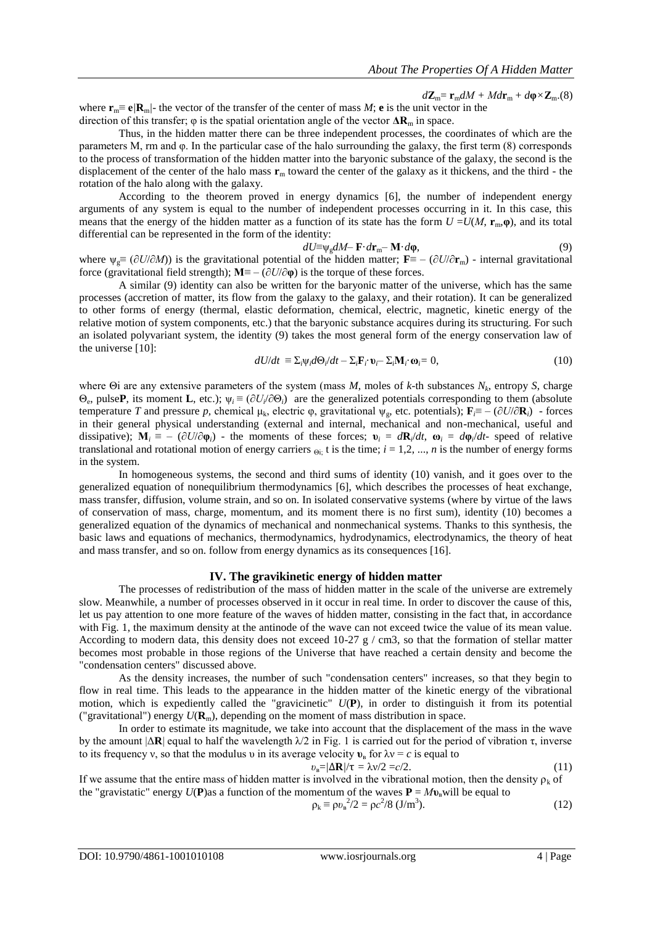$d\mathbf{Z}_m = \mathbf{r}_m dM + M d\mathbf{r}_m + d\mathbf{\varphi} \times \mathbf{Z}_m$ .(8)

where  $\mathbf{r}_m \equiv \mathbf{e}/\mathbf{R}_m$  the vector of the transfer of the center of mass *M*; **e** is the unit vector in the direction of this transfer;  $\varphi$  is the spatial orientation angle of the vector  $\Delta \mathbf{R}_{m}$  in space.

Thus, in the hidden matter there can be three independent processes, the coordinates of which are the parameters M, rm and φ. In the particular case of the halo surrounding the galaxy, the first term (8) corresponds to the process of transformation of the hidden matter into the baryonic substance of the galaxy, the second is the displacement of the center of the halo mass **r**<sup>m</sup> toward the center of the galaxy as it thickens, and the third - the rotation of the halo along with the galaxy.

According to the theorem proved in energy dynamics [6], the number of independent energy arguments of any system is equal to the number of independent processes occurring in it. In this case, this means that the energy of the hidden matter as a function of its state has the form  $U = U(M, \mathbf{r}_m, \mathbf{\varphi})$ , and its total differential can be represented in the form of the identity:

$$
dU \equiv \psi_{\rm g} dM - \mathbf{F} \cdot d\mathbf{r}_{\rm m} - \mathbf{M} \cdot d\mathbf{\varphi},\tag{9}
$$

where  $\psi_{\sigma} \equiv (\partial U/\partial M)$  is the gravitational potential of the hidden matter;  $\mathbf{F} \equiv -(\partial U/\partial \mathbf{r}_{\rm m})$  - internal gravitational force (gravitational field strength);  $M = -(\partial U/\partial \varphi)$  is the torque of these forces.

A similar (9) identity can also be written for the baryonic matter of the universe, which has the same processes (accretion of matter, its flow from the galaxy to the galaxy, and their rotation). It can be generalized to other forms of energy (thermal, elastic deformation, chemical, electric, magnetic, kinetic energy of the relative motion of system components, etc.) that the baryonic substance acquires during its structuring. For such an isolated polyvariant system, the identity (9) takes the most general form of the energy conservation law of the universe [10]:

$$
dU/dt \equiv \Sigma_i \psi_i d\Theta_i/dt - \Sigma_i \mathbf{F}_i \cdot \mathbf{v}_i - \Sigma_i \mathbf{M}_i \cdot \mathbf{\omega}_i = 0, \qquad (10)
$$

where Θi are any extensive parameters of the system (mass *M*, moles of *k*-th substances *N<sup>k</sup>* , entropy *S*, charge  $Θ_e$ , pulse**P**, its moment **L**, etc.);  $ψ<sub>i</sub> ≡ (∂U<sub>i</sub>/∂Θ<sub>i</sub>)$  are the generalized potentials corresponding to them (absolute temperature *T* and pressure *p*, chemical μ<sub>k</sub>, electric φ, gravitational  $\psi_{\rm g}$ , etc. potentials);  $\mathbf{F}_{\rm f} \equiv -(\partial U/\partial \mathbf{R}_i)$  - forces in their general physical understanding (external and internal, mechanical and non-mechanical, useful and dissipative);  $M_i \equiv - (\partial U/\partial \varphi_i)$  - the moments of these forces;  $v_i = dR_i/dt$ ,  $\omega_i = d\varphi_i/dt$ - speed of relative translational and rotational motion of energy carriers  $\Theta$ <sub>i</sub>; t is the time;  $i = 1, 2, ..., n$  is the number of energy forms in the system.

In homogeneous systems, the second and third sums of identity (10) vanish, and it goes over to the generalized equation of nonequilibrium thermodynamics [6], which describes the processes of heat exchange, mass transfer, diffusion, volume strain, and so on. In isolated conservative systems (where by virtue of the laws of conservation of mass, charge, momentum, and its moment there is no first sum), identity (10) becomes a generalized equation of the dynamics of mechanical and nonmechanical systems. Thanks to this synthesis, the basic laws and equations of mechanics, thermodynamics, hydrodynamics, electrodynamics, the theory of heat and mass transfer, and so on. follow from energy dynamics as its consequences [16].

#### **IV. The gravikinetic energy of hidden matter**

The processes of redistribution of the mass of hidden matter in the scale of the universe are extremely slow. Meanwhile, a number of processes observed in it occur in real time. In order to discover the cause of this, let us pay attention to one more feature of the waves of hidden matter, consisting in the fact that, in accordance with Fig. 1, the maximum density at the antinode of the wave can not exceed twice the value of its mean value. According to modern data, this density does not exceed  $10{\text -}27$  g / cm3, so that the formation of stellar matter becomes most probable in those regions of the Universe that have reached a certain density and become the "condensation centers" discussed above.

As the density increases, the number of such "condensation centers" increases, so that they begin to flow in real time. This leads to the appearance in the hidden matter of the kinetic energy of the vibrational motion, which is expediently called the "gravicinetic" *U*(**P**), in order to distinguish it from its potential ("gravitational") energy  $U(\mathbf{R}_{m})$ , depending on the moment of mass distribution in space.

In order to estimate its magnitude, we take into account that the displacement of the mass in the wave by the amount  $|\Delta \mathbf{R}|$  equal to half the wavelength  $\lambda/2$  in Fig. 1 is carried out for the period of vibration  $\tau$ , inverse to its frequency v, so that the modulus v in its average velocity  $v_{\rm B}$  for  $\lambda v = c$  is equal to

$$
v_{\rm B} = \frac{\Delta \mathbf{R}}{\tau} = \frac{\lambda v}{2} = c/2. \tag{11}
$$

If we assume that the entire mass of hidden matter is involved in the vibrational motion, then the density  $\rho_k$  of the "gravistatic" energy  $U(P)$  as a function of the momentum of the waves  $P = M v_n$  will be equal to

$$
\rho_{k} \equiv \rho v_{B}^{2}/2 = \rho c^{2}/8 (J/m^{3}).
$$
 (12)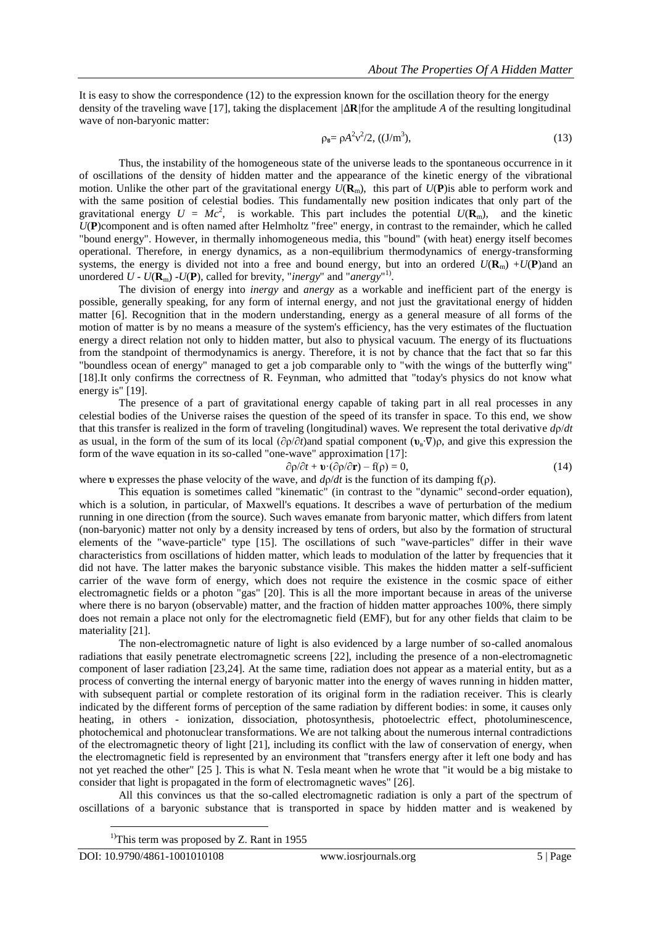It is easy to show the correspondence (12) to the expression known for the oscillation theory for the energy density of the traveling wave [17], taking the displacement *|*∆**R***|*for the amplitude *A* of the resulting longitudinal wave of non-baryonic matter:

$$
\rho_{\rm B} = \rho A^2 v^2 / 2, \, ((J/m^3), \tag{13}
$$

Thus, the instability of the homogeneous state of the universe leads to the spontaneous occurrence in it of oscillations of the density of hidden matter and the appearance of the kinetic energy of the vibrational motion. Unlike the other part of the gravitational energy  $U(\mathbf{R}_m)$ , this part of  $U(\mathbf{P})$  is able to perform work and with the same position of celestial bodies. This fundamentally new position indicates that only part of the gravitational energy  $U = Mc^2$ , is workable. This part includes the potential  $U(\mathbf{R}_m)$ , and the kinetic *U*(**P**)component and is often named after Helmholtz "free" energy, in contrast to the remainder, which he called "bound energy". However, in thermally inhomogeneous media, this "bound" (with heat) energy itself becomes operational. Therefore, in energy dynamics, as a non-equilibrium thermodynamics of energy-transforming systems, the energy is divided not into a free and bound energy, but into an ordered  $U(\mathbf{R}_{m}) + U(\mathbf{P})$  and an unordered  $U$  -  $U(\mathbf{R}_{\text{m}})$  - $U(\mathbf{P})$ , called for brevity, "*inergy*" and "*anergy*"<sup>1)</sup>.

The division of energy into *inergy* and *anergy* as a workable and inefficient part of the energy is possible, generally speaking, for any form of internal energy, and not just the gravitational energy of hidden matter [6]. Recognition that in the modern understanding, energy as a general measure of all forms of the motion of matter is by no means a measure of the system's efficiency, has the very estimates of the fluctuation energy a direct relation not only to hidden matter, but also to physical vacuum. The energy of its fluctuations from the standpoint of thermodynamics is anergy. Therefore, it is not by chance that the fact that so far this "boundless ocean of energy" managed to get a job comparable only to "with the wings of the butterfly wing" [18].It only confirms the correctness of R. Feynman, who admitted that "today's physics do not know what energy is" [19].

The presence of a part of gravitational energy capable of taking part in all real processes in any celestial bodies of the Universe raises the question of the speed of its transfer in space. To this end, we show that this transfer is realized in the form of traveling (longitudinal) waves. We represent the total derivative *d*ρ/*dt*  as usual, in the form of the sum of its local (∂ρ/∂*t*)and spatial component (**υ**<sup>в</sup> ∙∇)ρ, and give this expression the form of the wave equation in its so-called "one-wave" approximation [17]:

$$
\frac{\partial \rho}{\partial t} + \mathbf{v} \cdot (\frac{\partial \rho}{\partial \mathbf{r}}) - f(\rho) = 0,\tag{14}
$$

where *υ* expresses the phase velocity of the wave, and  $d\rho/dt$  is the function of its damping  $f(\rho)$ .

This equation is sometimes called "kinematic" (in contrast to the "dynamic" second-order equation), which is a solution, in particular, of Maxwell's equations. It describes a wave of perturbation of the medium running in one direction (from the source). Such waves emanate from baryonic matter, which differs from latent (non-baryonic) matter not only by a density increased by tens of orders, but also by the formation of structural elements of the "wave-particle" type [15]. The oscillations of such "wave-particles" differ in their wave characteristics from oscillations of hidden matter, which leads to modulation of the latter by frequencies that it did not have. The latter makes the baryonic substance visible. This makes the hidden matter a self-sufficient carrier of the wave form of energy, which does not require the existence in the cosmic space of either electromagnetic fields or a photon "gas" [20]. This is all the more important because in areas of the universe where there is no baryon (observable) matter, and the fraction of hidden matter approaches 100%, there simply does not remain a place not only for the electromagnetic field (EMF), but for any other fields that claim to be materiality [21].

The non-electromagnetic nature of light is also evidenced by a large number of so-called anomalous radiations that easily penetrate electromagnetic screens [22], including the presence of a non-electromagnetic component of laser radiation [23,24]. At the same time, radiation does not appear as a material entity, but as a process of converting the internal energy of baryonic matter into the energy of waves running in hidden matter, with subsequent partial or complete restoration of its original form in the radiation receiver. This is clearly indicated by the different forms of perception of the same radiation by different bodies: in some, it causes only heating, in others - ionization, dissociation, photosynthesis, photoelectric effect, photoluminescence, photochemical and photonuclear transformations. We are not talking about the numerous internal contradictions of the electromagnetic theory of light [21], including its conflict with the law of conservation of energy, when the electromagnetic field is represented by an environment that "transfers energy after it left one body and has not yet reached the other" [25 ]. This is what N. Tesla meant when he wrote that "it would be a big mistake to consider that light is propagated in the form of electromagnetic waves" [26].

All this convinces us that the so-called electromagnetic radiation is only a part of the spectrum of oscillations of a baryonic substance that is transported in space by hidden matter and is weakened by

 $\overline{a}$ 

<sup>&</sup>lt;sup>1)</sup>This term was proposed by Z. Rant in 1955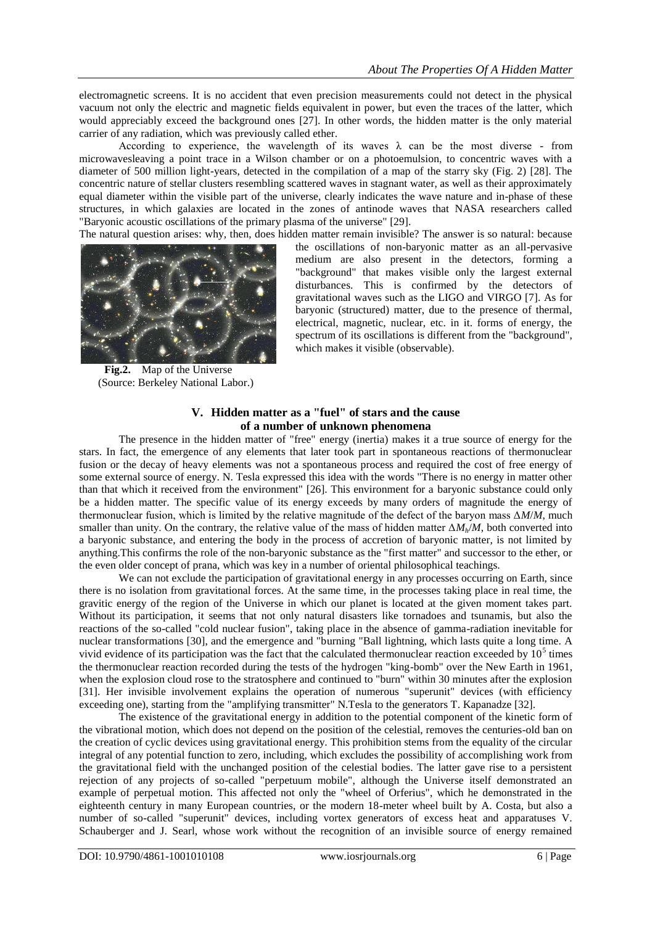electromagnetic screens. It is no accident that even precision measurements could not detect in the physical vacuum not only the electric and magnetic fields equivalent in power, but even the traces of the latter, which would appreciably exceed the background ones [27]. In other words, the hidden matter is the only material carrier of any radiation, which was previously called ether.

According to experience, the wavelength of its waves  $\lambda$  can be the most diverse - from microwavesleaving a point trace in a Wilson chamber or on a photoemulsion, to concentric waves with a diameter of 500 million light-years, detected in the compilation of a map of the starry sky (Fig. 2) [28]. The concentric nature of stellar clusters resembling scattered waves in stagnant water, as well as their approximately equal diameter within the visible part of the universe, clearly indicates the wave nature and in-phase of these structures, in which galaxies are located in the zones of antinode waves that NASA researchers called "Baryonic acoustic oscillations of the primary plasma of the universe" [29].

The natural question arises: why, then, does hidden matter remain invisible? The answer is so natural: because



**Fig.2.** Map of the Universe (Source: Berkeley National Labor.)

the oscillations of non-baryonic matter as an all-pervasive medium are also present in the detectors, forming a "background" that makes visible only the largest external disturbances. This is confirmed by the detectors of gravitational waves such as the LIGO and VIRGO [7]. As for baryonic (structured) matter, due to the presence of thermal, electrical, magnetic, nuclear, etc. in it. forms of energy, the spectrum of its oscillations is different from the "background", which makes it visible (observable).

## **V. Hidden matter as a "fuel" of stars and the cause of a number of unknown phenomena**

The presence in the hidden matter of "free" energy (inertia) makes it a true source of energy for the stars. In fact, the emergence of any elements that later took part in spontaneous reactions of thermonuclear fusion or the decay of heavy elements was not a spontaneous process and required the cost of free energy of some external source of energy. N. Tesla expressed this idea with the words "There is no energy in matter other than that which it received from the environment" [26]. This environment for a baryonic substance could only be a hidden matter. The specific value of its energy exceeds by many orders of magnitude the energy of thermonuclear fusion, which is limited by the relative magnitude of the defect of the baryon mass Δ*M*/*M*, much smaller than unity. On the contrary, the relative value of the mass of hidden matter Δ*Mh*/*M*, both converted into a baryonic substance, and entering the body in the process of accretion of baryonic matter, is not limited by anything.This confirms the role of the non-baryonic substance as the "first matter" and successor to the ether, or the even older concept of prana, which was key in a number of oriental philosophical teachings.

We can not exclude the participation of gravitational energy in any processes occurring on Earth, since there is no isolation from gravitational forces. At the same time, in the processes taking place in real time, the gravitic energy of the region of the Universe in which our planet is located at the given moment takes part. Without its participation, it seems that not only natural disasters like tornadoes and tsunamis, but also the reactions of the so-called "cold nuclear fusion", taking place in the absence of gamma-radiation inevitable for nuclear transformations [30], and the emergence and "burning "Ball lightning, which lasts quite a long time. A vivid evidence of its participation was the fact that the calculated thermonuclear reaction exceeded by  $10^5$  times the thermonuclear reaction recorded during the tests of the hydrogen "king-bomb" over the New Earth in 1961, when the explosion cloud rose to the stratosphere and continued to "burn" within 30 minutes after the explosion [31]. Her invisible involvement explains the operation of numerous "superunit" devices (with efficiency exceeding one), starting from the "amplifying transmitter" N.Tesla to the generators T. Kapanadze [32].

The existence of the gravitational energy in addition to the potential component of the kinetic form of the vibrational motion, which does not depend on the position of the celestial, removes the centuries-old ban on the creation of cyclic devices using gravitational energy. This prohibition stems from the equality of the circular integral of any potential function to zero, including, which excludes the possibility of accomplishing work from the gravitational field with the unchanged position of the celestial bodies. The latter gave rise to a persistent rejection of any projects of so-called "perpetuum mobile", although the Universe itself demonstrated an example of perpetual motion. This affected not only the "wheel of Orferius", which he demonstrated in the eighteenth century in many European countries, or the modern 18-meter wheel built by A. Costa, but also a number of so-called "superunit" devices, including vortex generators of excess heat and apparatuses V. Schauberger and J. Searl, whose work without the recognition of an invisible source of energy remained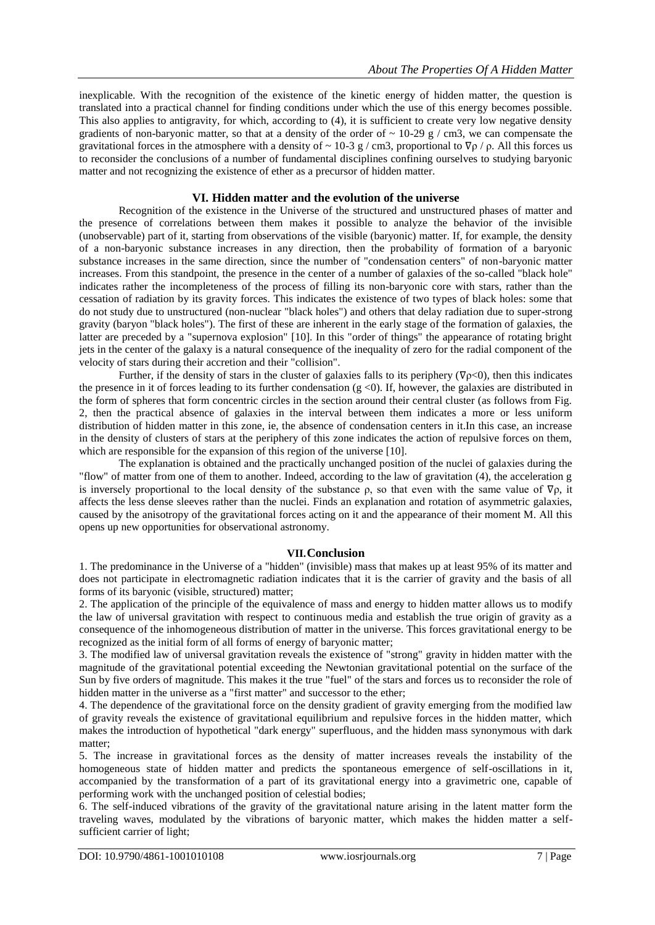inexplicable. With the recognition of the existence of the kinetic energy of hidden matter, the question is translated into a practical channel for finding conditions under which the use of this energy becomes possible. This also applies to antigravity, for which, according to (4), it is sufficient to create very low negative density gradients of non-baryonic matter, so that at a density of the order of  $\sim 10{\text -}29$  g / cm3, we can compensate the gravitational forces in the atmosphere with a density of ~ 10-3 g / cm3, proportional to  $\nabla \rho$  /  $\rho$ . All this forces us to reconsider the conclusions of a number of fundamental disciplines confining ourselves to studying baryonic matter and not recognizing the existence of ether as a precursor of hidden matter.

## **VI. Hidden matter and the evolution of the universe**

Recognition of the existence in the Universe of the structured and unstructured phases of matter and the presence of correlations between them makes it possible to analyze the behavior of the invisible (unobservable) part of it, starting from observations of the visible (baryonic) matter. If, for example, the density of a non-baryonic substance increases in any direction, then the probability of formation of a baryonic substance increases in the same direction, since the number of "condensation centers" of non-baryonic matter increases. From this standpoint, the presence in the center of a number of galaxies of the so-called "black hole" indicates rather the incompleteness of the process of filling its non-baryonic core with stars, rather than the cessation of radiation by its gravity forces. This indicates the existence of two types of black holes: some that do not study due to unstructured (non-nuclear "black holes") and others that delay radiation due to super-strong gravity (baryon "black holes"). The first of these are inherent in the early stage of the formation of galaxies, the latter are preceded by a "supernova explosion" [10]. In this "order of things" the appearance of rotating bright jets in the center of the galaxy is a natural consequence of the inequality of zero for the radial component of the velocity of stars during their accretion and their "collision".

Further, if the density of stars in the cluster of galaxies falls to its periphery ( $\nabla \rho < 0$ ), then this indicates the presence in it of forces leading to its further condensation  $(g \lt 0)$ . If, however, the galaxies are distributed in the form of spheres that form concentric circles in the section around their central cluster (as follows from Fig. 2, then the practical absence of galaxies in the interval between them indicates a more or less uniform distribution of hidden matter in this zone, ie, the absence of condensation centers in it.In this case, an increase in the density of clusters of stars at the periphery of this zone indicates the action of repulsive forces on them, which are responsible for the expansion of this region of the universe [10].

The explanation is obtained and the practically unchanged position of the nuclei of galaxies during the "flow" of matter from one of them to another. Indeed, according to the law of gravitation (4), the acceleration g is inversely proportional to the local density of the substance  $\rho$ , so that even with the same value of  $\nabla \rho$ , it affects the less dense sleeves rather than the nuclei. Finds an explanation and rotation of asymmetric galaxies, caused by the anisotropy of the gravitational forces acting on it and the appearance of their moment M. All this opens up new opportunities for observational astronomy.

## **VII.Conclusion**

1. The predominance in the Universe of a "hidden" (invisible) mass that makes up at least 95% of its matter and does not participate in electromagnetic radiation indicates that it is the carrier of gravity and the basis of all forms of its baryonic (visible, structured) matter;

2. The application of the principle of the equivalence of mass and energy to hidden matter allows us to modify the law of universal gravitation with respect to continuous media and establish the true origin of gravity as a consequence of the inhomogeneous distribution of matter in the universe. This forces gravitational energy to be recognized as the initial form of all forms of energy of baryonic matter;

3. The modified law of universal gravitation reveals the existence of "strong" gravity in hidden matter with the magnitude of the gravitational potential exceeding the Newtonian gravitational potential on the surface of the Sun by five orders of magnitude. This makes it the true "fuel" of the stars and forces us to reconsider the role of hidden matter in the universe as a "first matter" and successor to the ether;

4. The dependence of the gravitational force on the density gradient of gravity emerging from the modified law of gravity reveals the existence of gravitational equilibrium and repulsive forces in the hidden matter, which makes the introduction of hypothetical "dark energy" superfluous, and the hidden mass synonymous with dark matter;

5. The increase in gravitational forces as the density of matter increases reveals the instability of the homogeneous state of hidden matter and predicts the spontaneous emergence of self-oscillations in it, accompanied by the transformation of a part of its gravitational energy into a gravimetric one, capable of performing work with the unchanged position of celestial bodies;

6. The self-induced vibrations of the gravity of the gravitational nature arising in the latent matter form the traveling waves, modulated by the vibrations of baryonic matter, which makes the hidden matter a selfsufficient carrier of light;